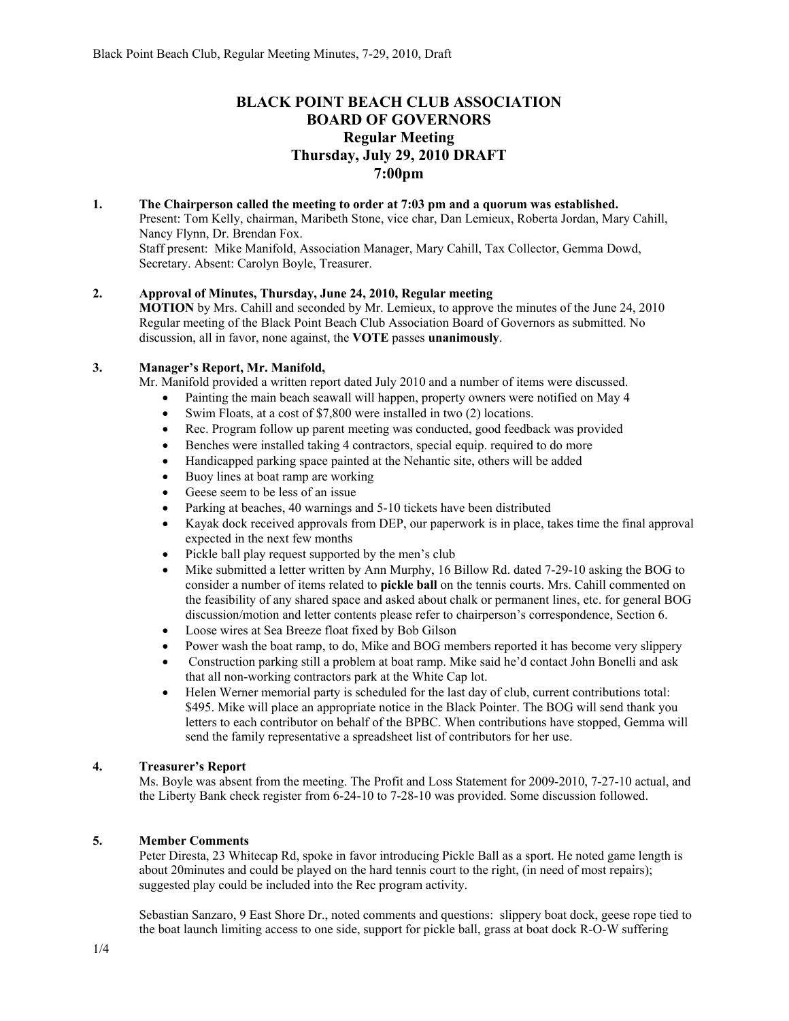# **BLACK POINT BEACH CLUB ASSOCIATION BOARD OF GOVERNORS Regular Meeting Thursday, July 29, 2010 DRAFT 7:00pm**

**1. The Chairperson called the meeting to order at 7:03 pm and a quorum was established.**  Present: Tom Kelly, chairman, Maribeth Stone, vice char, Dan Lemieux, Roberta Jordan, Mary Cahill, Nancy Flynn, Dr. Brendan Fox. Staff present: Mike Manifold, Association Manager, Mary Cahill, Tax Collector, Gemma Dowd, Secretary. Absent: Carolyn Boyle, Treasurer.

## **2. Approval of Minutes, Thursday, June 24, 2010, Regular meeting**

**MOTION** by Mrs. Cahill and seconded by Mr. Lemieux, to approve the minutes of the June 24, 2010 Regular meeting of the Black Point Beach Club Association Board of Governors as submitted. No discussion, all in favor, none against, the **VOTE** passes **unanimously**.

## **3. Manager's Report, Mr. Manifold,**

Mr. Manifold provided a written report dated July 2010 and a number of items were discussed.

- Painting the main beach seawall will happen, property owners were notified on May 4
- Swim Floats, at a cost of \$7,800 were installed in two (2) locations.
- Rec. Program follow up parent meeting was conducted, good feedback was provided
- Benches were installed taking 4 contractors, special equip. required to do more
- Handicapped parking space painted at the Nehantic site, others will be added
- Buoy lines at boat ramp are working
- Geese seem to be less of an issue
- Parking at beaches, 40 warnings and 5-10 tickets have been distributed
- Kayak dock received approvals from DEP, our paperwork is in place, takes time the final approval expected in the next few months
- Pickle ball play request supported by the men's club
- Mike submitted a letter written by Ann Murphy, 16 Billow Rd. dated 7-29-10 asking the BOG to consider a number of items related to **pickle ball** on the tennis courts. Mrs. Cahill commented on the feasibility of any shared space and asked about chalk or permanent lines, etc. for general BOG discussion/motion and letter contents please refer to chairperson's correspondence, Section 6.
- Loose wires at Sea Breeze float fixed by Bob Gilson
- Power wash the boat ramp, to do, Mike and BOG members reported it has become very slippery
- Construction parking still a problem at boat ramp. Mike said he'd contact John Bonelli and ask that all non-working contractors park at the White Cap lot.
- Helen Werner memorial party is scheduled for the last day of club, current contributions total: \$495. Mike will place an appropriate notice in the Black Pointer. The BOG will send thank you letters to each contributor on behalf of the BPBC. When contributions have stopped, Gemma will send the family representative a spreadsheet list of contributors for her use.

# **4. Treasurer's Report**

Ms. Boyle was absent from the meeting. The Profit and Loss Statement for 2009-2010, 7-27-10 actual, and the Liberty Bank check register from 6-24-10 to 7-28-10 was provided. Some discussion followed.

## **5. Member Comments**

Peter Diresta, 23 Whitecap Rd, spoke in favor introducing Pickle Ball as a sport. He noted game length is about 20minutes and could be played on the hard tennis court to the right, (in need of most repairs); suggested play could be included into the Rec program activity.

Sebastian Sanzaro, 9 East Shore Dr., noted comments and questions: slippery boat dock, geese rope tied to the boat launch limiting access to one side, support for pickle ball, grass at boat dock R-O-W suffering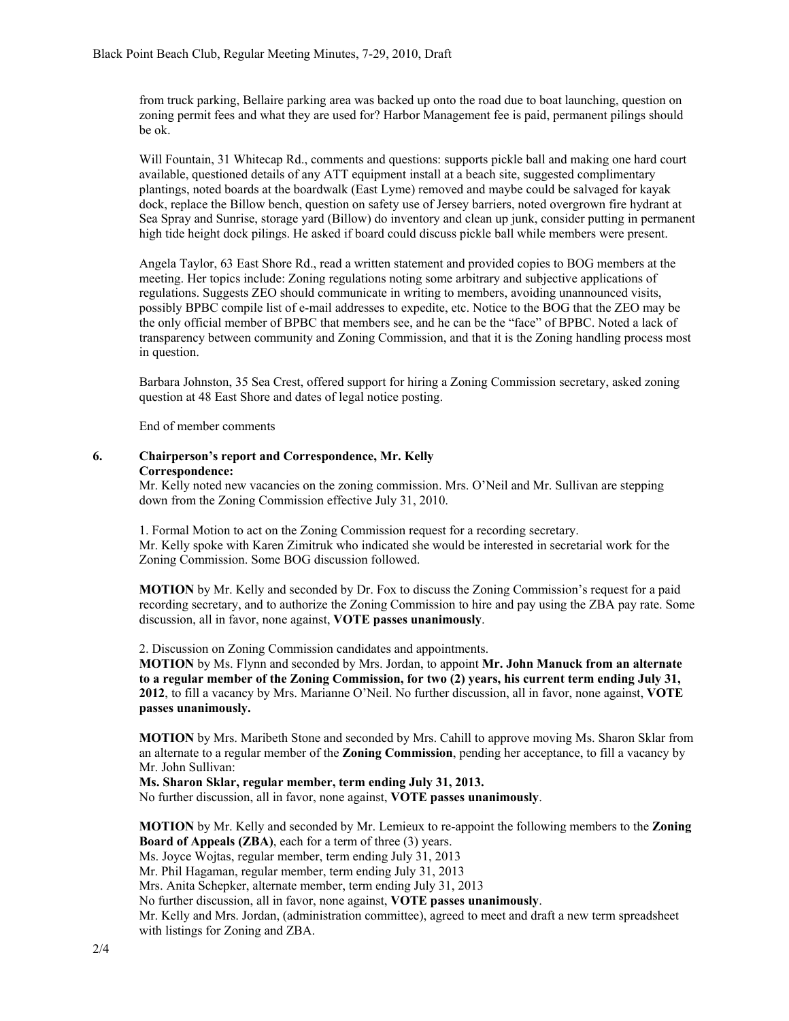from truck parking, Bellaire parking area was backed up onto the road due to boat launching, question on zoning permit fees and what they are used for? Harbor Management fee is paid, permanent pilings should be ok.

Will Fountain, 31 Whitecap Rd., comments and questions: supports pickle ball and making one hard court available, questioned details of any ATT equipment install at a beach site, suggested complimentary plantings, noted boards at the boardwalk (East Lyme) removed and maybe could be salvaged for kayak dock, replace the Billow bench, question on safety use of Jersey barriers, noted overgrown fire hydrant at Sea Spray and Sunrise, storage yard (Billow) do inventory and clean up junk, consider putting in permanent high tide height dock pilings. He asked if board could discuss pickle ball while members were present.

Angela Taylor, 63 East Shore Rd., read a written statement and provided copies to BOG members at the meeting. Her topics include: Zoning regulations noting some arbitrary and subjective applications of regulations. Suggests ZEO should communicate in writing to members, avoiding unannounced visits, possibly BPBC compile list of e-mail addresses to expedite, etc. Notice to the BOG that the ZEO may be the only official member of BPBC that members see, and he can be the "face" of BPBC. Noted a lack of transparency between community and Zoning Commission, and that it is the Zoning handling process most in question.

Barbara Johnston, 35 Sea Crest, offered support for hiring a Zoning Commission secretary, asked zoning question at 48 East Shore and dates of legal notice posting.

End of member comments

#### **6. Chairperson's report and Correspondence, Mr. Kelly Correspondence:**

Mr. Kelly noted new vacancies on the zoning commission. Mrs. O'Neil and Mr. Sullivan are stepping down from the Zoning Commission effective July 31, 2010.

1. Formal Motion to act on the Zoning Commission request for a recording secretary. Mr. Kelly spoke with Karen Zimitruk who indicated she would be interested in secretarial work for the Zoning Commission. Some BOG discussion followed.

**MOTION** by Mr. Kelly and seconded by Dr. Fox to discuss the Zoning Commission's request for a paid recording secretary, and to authorize the Zoning Commission to hire and pay using the ZBA pay rate. Some discussion, all in favor, none against, **VOTE passes unanimously**.

2. Discussion on Zoning Commission candidates and appointments.

**MOTION** by Ms. Flynn and seconded by Mrs. Jordan, to appoint **Mr. John Manuck from an alternate to a regular member of the Zoning Commission, for two (2) years, his current term ending July 31, 2012**, to fill a vacancy by Mrs. Marianne O'Neil. No further discussion, all in favor, none against, **VOTE passes unanimously.** 

**MOTION** by Mrs. Maribeth Stone and seconded by Mrs. Cahill to approve moving Ms. Sharon Sklar from an alternate to a regular member of the **Zoning Commission**, pending her acceptance, to fill a vacancy by Mr. John Sullivan:

**Ms. Sharon Sklar, regular member, term ending July 31, 2013.**

No further discussion, all in favor, none against, **VOTE passes unanimously**.

**MOTION** by Mr. Kelly and seconded by Mr. Lemieux to re-appoint the following members to the **Zoning Board of Appeals (ZBA)**, each for a term of three (3) years. Ms. Joyce Wojtas, regular member, term ending July 31, 2013 Mr. Phil Hagaman, regular member, term ending July 31, 2013

Mrs. Anita Schepker, alternate member, term ending July 31, 2013

No further discussion, all in favor, none against, **VOTE passes unanimously**.

Mr. Kelly and Mrs. Jordan, (administration committee), agreed to meet and draft a new term spreadsheet with listings for Zoning and ZBA.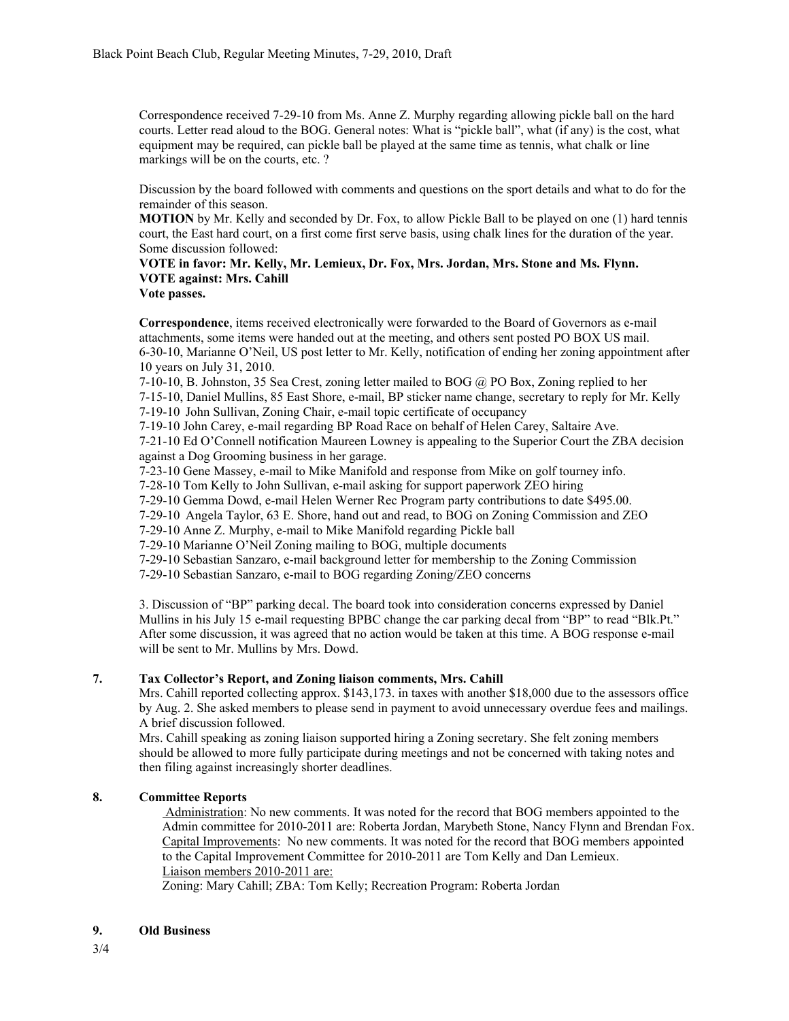Correspondence received 7-29-10 from Ms. Anne Z. Murphy regarding allowing pickle ball on the hard courts. Letter read aloud to the BOG. General notes: What is "pickle ball", what (if any) is the cost, what equipment may be required, can pickle ball be played at the same time as tennis, what chalk or line markings will be on the courts, etc. ?

Discussion by the board followed with comments and questions on the sport details and what to do for the remainder of this season.

**MOTION** by Mr. Kelly and seconded by Dr. Fox, to allow Pickle Ball to be played on one (1) hard tennis court, the East hard court, on a first come first serve basis, using chalk lines for the duration of the year. Some discussion followed:

## **VOTE in favor: Mr. Kelly, Mr. Lemieux, Dr. Fox, Mrs. Jordan, Mrs. Stone and Ms. Flynn. VOTE against: Mrs. Cahill**

**Vote passes.**

**Correspondence**, items received electronically were forwarded to the Board of Governors as e-mail attachments, some items were handed out at the meeting, and others sent posted PO BOX US mail. 6-30-10, Marianne O'Neil, US post letter to Mr. Kelly, notification of ending her zoning appointment after 10 years on July 31, 2010.

7-10-10, B. Johnston, 35 Sea Crest, zoning letter mailed to BOG @ PO Box, Zoning replied to her 7-15-10, Daniel Mullins, 85 East Shore, e-mail, BP sticker name change, secretary to reply for Mr. Kelly 7-19-10 John Sullivan, Zoning Chair, e-mail topic certificate of occupancy

7-19-10 John Carey, e-mail regarding BP Road Race on behalf of Helen Carey, Saltaire Ave.

7-21-10 Ed O'Connell notification Maureen Lowney is appealing to the Superior Court the ZBA decision against a Dog Grooming business in her garage.

7-23-10 Gene Massey, e-mail to Mike Manifold and response from Mike on golf tourney info.

7-28-10 Tom Kelly to John Sullivan, e-mail asking for support paperwork ZEO hiring

7-29-10 Gemma Dowd, e-mail Helen Werner Rec Program party contributions to date \$495.00.

7-29-10 Angela Taylor, 63 E. Shore, hand out and read, to BOG on Zoning Commission and ZEO

7-29-10 Anne Z. Murphy, e-mail to Mike Manifold regarding Pickle ball

7-29-10 Marianne O'Neil Zoning mailing to BOG, multiple documents

7-29-10 Sebastian Sanzaro, e-mail background letter for membership to the Zoning Commission

7-29-10 Sebastian Sanzaro, e-mail to BOG regarding Zoning/ZEO concerns

3. Discussion of "BP" parking decal. The board took into consideration concerns expressed by Daniel Mullins in his July 15 e-mail requesting BPBC change the car parking decal from "BP" to read "Blk.Pt." After some discussion, it was agreed that no action would be taken at this time. A BOG response e-mail will be sent to Mr. Mullins by Mrs. Dowd.

## **7. Tax Collector's Report, and Zoning liaison comments, Mrs. Cahill**

Mrs. Cahill reported collecting approx. \$143,173. in taxes with another \$18,000 due to the assessors office by Aug. 2. She asked members to please send in payment to avoid unnecessary overdue fees and mailings. A brief discussion followed.

Mrs. Cahill speaking as zoning liaison supported hiring a Zoning secretary. She felt zoning members should be allowed to more fully participate during meetings and not be concerned with taking notes and then filing against increasingly shorter deadlines.

## **8. Committee Reports**

 Administration: No new comments. It was noted for the record that BOG members appointed to the Admin committee for 2010-2011 are: Roberta Jordan, Marybeth Stone, Nancy Flynn and Brendan Fox. Capital Improvements: No new comments. It was noted for the record that BOG members appointed to the Capital Improvement Committee for 2010-2011 are Tom Kelly and Dan Lemieux. Liaison members 2010-2011 are:

Zoning: Mary Cahill; ZBA: Tom Kelly; Recreation Program: Roberta Jordan

## **9. Old Business**